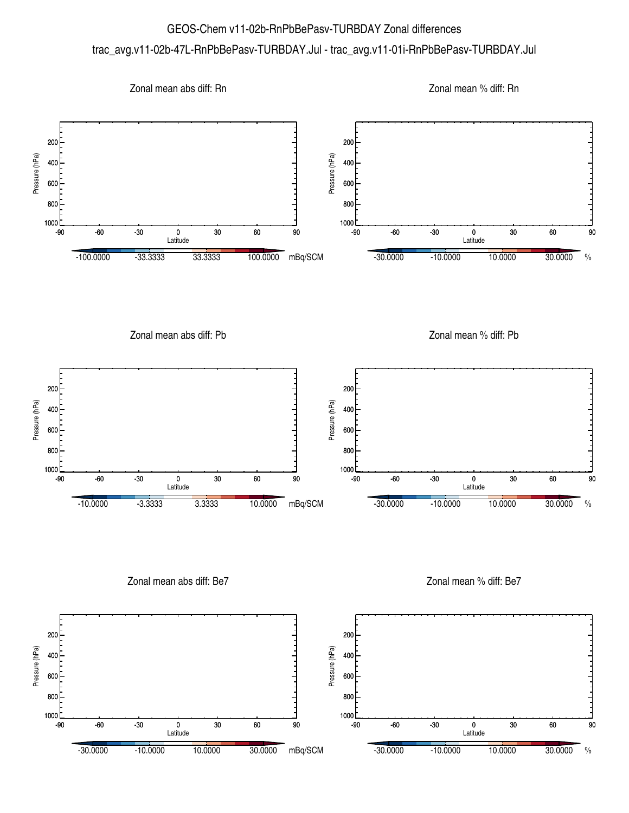## GEOS-Chem v11-02b-RnPbBePasv-TURBDAY Zonal differences trac\_avg.v11-02b-47L-RnPbBePasv-TURBDAY.Jul - trac\_avg.v11-01i-RnPbBePasv-TURBDAY.Jul